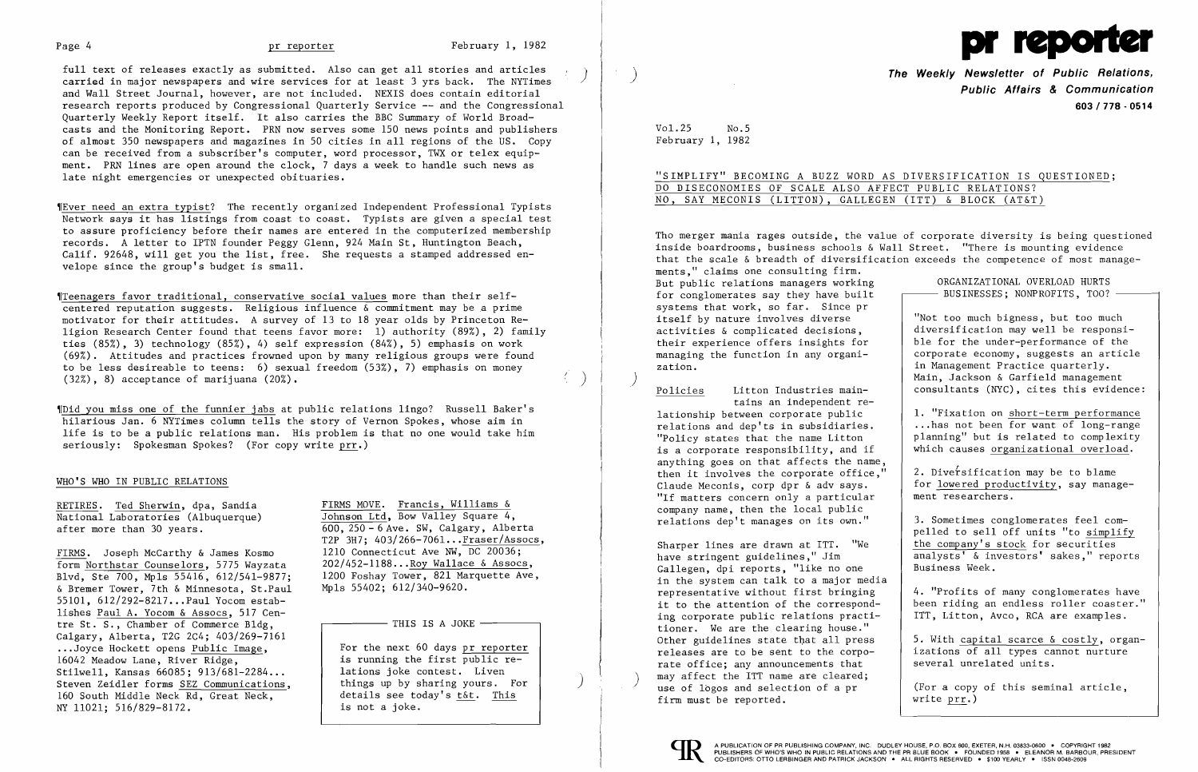full text of releases exactly as submitted. Also can get all stories and articles carried in major newspapers and wire services for at least 3 yrs back. The NYTimes and Wall Street Journal, however, are not included. NEXIS does contain editorial research reports produced by Congressional Quarterly Service -- and the Congressional Quarterly Weekly Report itself. It also carries the BBC Summary of World Broad casts and the Monitoring Report. PRN now serves some 150 news points and publishers of almost 350 newspapers and magazines in 50 cities in all regions of the US. Copy can be received from a subscriber's computer, word processor, TWX or telex equip ment. PRN lines are open around the clock, 7 days a week to handle such news as late night emergencies or unexpected obituaries.

'ITeenagers favor traditional, conservative social values more than their se1fcentered reputation suggests. Religious influence  $\delta$  commitment may be a prime motivator for their attitudes. A survey of 13 to 18 year olds by Princeton Religion Research Center found that teens favor more: 1) authority (89%), 2) family ties (85%), 3) technology (85%), 4) self expression (84%), 5) emphasis on work (69%). Attitudes and practices frowned upon by many religious groups were found to be less desireab1e to teens: 6) sexual freedom (53%), 7) emphasis on money  $(32\%)$ , 8) acceptance of marijuana  $(20\%)$ .

~Ever need an extra typist? The recently organized Independent Professional Typists Network says it has listings from coast to coast. Typists are given a special test to assure proficiency before their names are entered in the computerized membership records. A letter to IPTN founder Peggy Glenn, 924 Main St, Huntington Beach, Calif. 92648, will get you the list, free. She requests a stamped addressed envelope since the group's budget is small.

FIRMS. Joseph McCarthy & James Kosmo 1210 Connecticut Ave NW, DC 20036;<br>Form Northstar Counselors. 5775 Wayzata 202/452-1188...Roy Wallace & Assocs, form Northstar Counselors, 5775 Wayzata  $202/452-1188...$  Roy Wallace & Assocs,<br>Blyd. Ste 700, Mpls 55416, 612/541-9877: 1200 Foshay Tower, 821 Marquette Ave, Blvd, Ste 700, Mp1s 55416, 612/541-9877; 1200 Foshay Tower, 821 Marquette Ave, 821 Marquette Ave, 821 Marquette Ave, 821 Marquette Ave, 821 Marquette Ave, 821 Marquette Ave, 821 Marquette Ave, 821 Marquette Ave, 821 Marqu & Bremer Tower, 7th & Minnesota, St.Paul 55101, 612/292-8217...Paul Yocom establishes Paul A. Yocom & Assocs, 517 Centre St.  $S$ ., Chamber of Commerce B1dg,  $\Box$  THIS IS A JOKE  $\Box$ Calgary, Alberta, T2G 2C4; 403/269-7161 ...Joyce Hockett opens Public Image,<br>16042 Meadow Lane. River Ridge. The running the first public re-16042 Meadow Lane, River Ridge,<br>
Stilwell, Kansas 66085: 913/681-2284... | lations joke contest. Liven Stilwell, Kansas 66085; 913/681-2284... | lations joke contest. Liven<br>Steven Zeidler forms SEZ Communications. | things up by sharing yours. For Steven Zeidler forms SEZ Communications. NY 11021; 516/829-8172. 160 South Middle Neck Rd, Great Neck,

after more than 30 years.  $\overline{600, 250 - 6}$  Ave. SW, Calgary, Alberta T2P  $3H7$ ; 403/266-7061... $\frac{Fraser/Assocs}{DC}$ , 1210 Connecticut Ave NW, DC 20036;

Tho merger mania rages outside, the value of corporate diversity is being questioned inside boardrooms, business schools & Wall Street. "There is mounting evidence that the scale & breadth of diversification exceeds the competence of most managements," claims one consulting firm. But public relations managers working ORGANIZATIONAL OVERLOAD HURTS for conglomerates say they have built  $-$  BUSINESSES; NONPROFITS, TOO?  $$ systems that work, so far. Since pr<br>itself by nature involves diverse itself by nature involves diverse | "Not too much bigness, but too much<br>activities & complicated decisions, | diversification may well be responsi activities  $\&$  complicated decisions,  $\left\{\n\begin{array}{c}\n\text{diversification may well be response i-}\n\text{their experience offers insights for}\n\end{array}\n\right\}$ their experience offers insights for ble for the under-performance of the managing the function in any organimanaging the function in any organi-<br>  $\begin{array}{|l|l|}\n \hline\n \text{nonadjoint} & \text{nonadjoint} & \text{nonadjoint} & \text{nonadjoint} & \text{nonadjoint} & \text{nonadjoint} & \text{nonadjoint} & \text{nonadjoint} & \text{nonadjoint} & \text{nonadjoint} & \text{nonadjoint} & \text{nonadjoint} & \text{nonadjoint} & \text{nonadjoint} & \text{nonadjoint} & \text{nonadjoint} & \text{nonadjoint} & \text{nonadjoint} & \text{nonadjoint} & \text{nonadjoint} & \text{nonadjoint$ in Management Practice quarterly.<br>Main, Jackson & Garfield management Policies Litton Industries main-  $\vert$  consultants (NYC), cites this evidence: Litton Industries main-

'[Did you miss one of the funnier jabs at public relations lingo? Russell Baker's hilarious Jan. 6 NYTimes column tells the story of Vernon Spokes, whose aim in life is to be a public relations man. His problem is that no one would take him seriously: Spokesman Spokes? (For copy write prr.)

# WHO'S WHO IN PUBLIC RELATIONS

RETIRES. Ted Sherwin, dpa, Sandia FIRMS MOVE. Francis, Williams  $\delta$ National Laboratories (Albuquerque) Johnson Ltd, Bow Valley Square 4,

1. "Fixation on short-term performance relations and dep'ts in subsidiaries.  $\begin{array}{|l|} \therefore \text{ has not been for want of long-range} \\ \text{Planning'' but is related to complexity} \end{array}$ "Policy states that the name Litton  $\begin{array}{|l|l|}\n \hline\n 1 & 1 & 2 \\
 1 & 3 & 4 \\
 2 & 4 & 5\n\end{array}$  planning" but is related to complexity is a corporate responsibility, and if  $\begin{array}{|l|l|}\n \hline\n 1 & 5 & 5 \\
 2 & 6 & 6 \\
 3 & 4 & 6\n\end{array}$ which causes organizational overload.

then it involves the corporate office," 2. Diversification may be to blame<br>Claude Meconis, corp dpr & adv says. for lowered productivity, say managed for <u>lowered productivity</u>, say manage-<br>ment researchers. Ξ

"If matters concern only a particular company name, then the local public relations dep't manages on its own."

 3. Sometimes conglomerates feel compelled to sell off units "to simplify<br>the company's stock for securities  $\overline{\text{analysts'}}$  & investors' sakes," reports Business Week.

 4. "Profits of many conglomerates have been riding an endless roller coaster."<br>ITT, Litton, Avco, RCA are examples.

izations of all types cannot nurture<br>several unrelated units.

Sharper lines are drawn at ITT. "We have stringent guidelines," Jim Gallegen, dpi reports, "like no one in the system can talk to a major media representative without first bringing<br>it to the attention of the corresponding corporate public relations practitioner. We are the clearing house."<br>Other guidelines state that all press Other guidelines state that all press  $\begin{vmatrix} 5. & \text{With capital scarce & \text{costly}} \\ 2. & \text{With capital scarce } \text{constant} \end{vmatrix}$ , organrate office: any announcements that may affect the ITT name are cleared; ) may affect the ITT name are cleared;<br>use of logos and selection of a pr  $\begin{array}{|l|} \hline \text{``For a copy of this seminal article,} \hline \end{array}$ firm must be reported.



details see today's t&t. This is not a joke.



) **The Weekly Newsletter of Public Relations, Public Affairs & Communication 603/778 - 0514** 

Vol. 25 No.5 February 1, 1982

 $\sim 7-$ 

"SIMPLIFY" BECOMING A BUZZ WORD AS DIVERSIFICATION IS QUESTIONED; DO DISECONOMIES OF SCALE ALSO AFFECT PUBLIC RELATIONS? NO, SAY MECONIS (LITTON), GALLEGEN (ITT) & BLOCK (AT&T)

tains an independent relationship between corporate public anything goes on that affects the name,

write prr.)